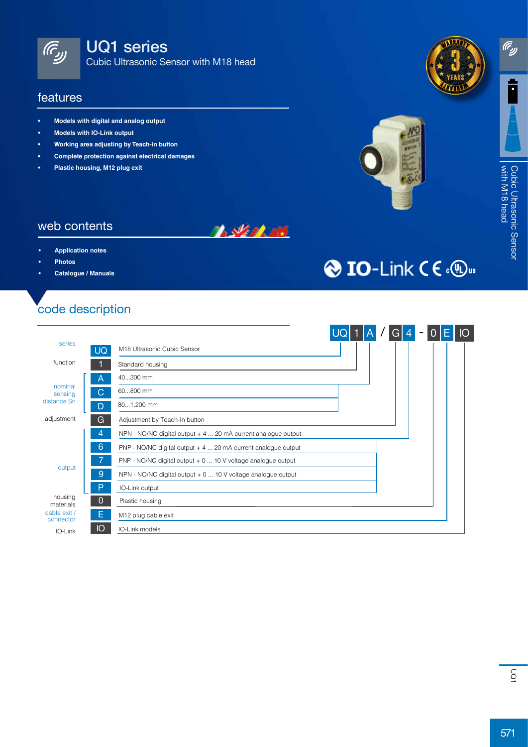

UQ1 series

Cubic Ultrasonic Sensor with M18 head

#### features

- **• Models with digital and analog output**
- **• Models with IO-Link output**
- **• Working area adjusting by Teach-in button**
- **• Complete protection against electrical damages**
- **• Plastic housing, M12 plug exit**



**O** IO-Link C € . <sup>(1)</sup>us



**ரெ** 

### web contents

- **• Application notes**
- **• Photos**
- **• Catalogue / Manuals**

# code description



**BALLARDERS**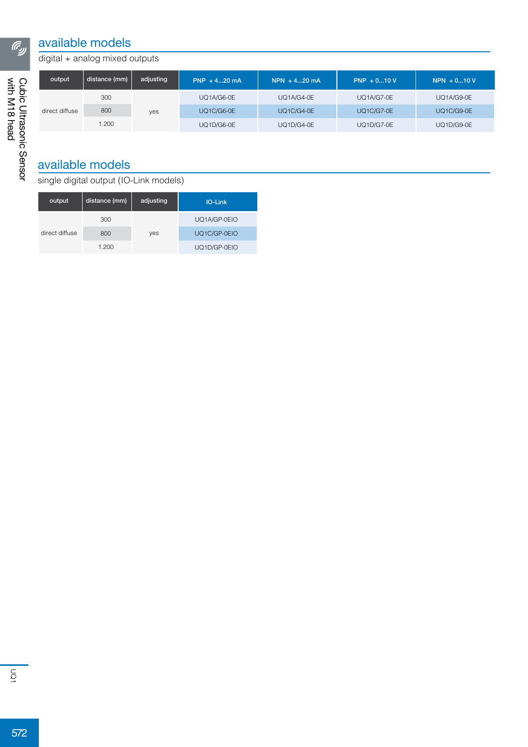### available models

#### digital + analog mixed outputs

| output         | distance (mm) | adjusting | $PNP + 420 mA$ | $NPN + 420 mA$    | $PNP + 010V$      | $NPN + 010V$      |
|----------------|---------------|-----------|----------------|-------------------|-------------------|-------------------|
| direct diffuse | 300           | yes       | UQ1A/G6-0E     | UQ1A/G4-0E        | <b>UQ1A/G7-0E</b> | UQ1A/G9-0E        |
|                | 800           |           | UQ1C/G6-0E     | <b>UQ1C/G4-0E</b> | <b>UQ1C/G7-0E</b> | <b>UQ1C/G9-0E</b> |
|                | .200          |           | UQ1D/G6-0E     | <b>UQ1D/G4-0E</b> | <b>UQ1D/G7-0E</b> | <b>UQ1D/G9-0E</b> |

## available models

single digital output (IO-Link models)

| output         | distance (mm) | adjusting | <b>IO-Link</b> |  |  |  |
|----------------|---------------|-----------|----------------|--|--|--|
|                | 300           | yes       | UQ1A/GP-0EIO   |  |  |  |
| direct diffuse | 800           |           | UQ1C/GP-0EIO   |  |  |  |
|                | 1.200         |           | UQ1D/GP-0EIO   |  |  |  |

 $\sqrt{6}$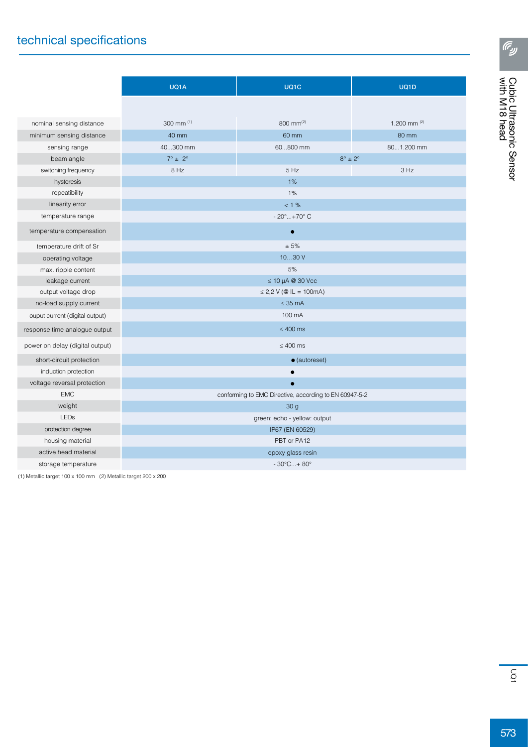## technical specifications

|                                 | UQ1A                                                   | UQ1C      | UQ1D           |  |  |  |
|---------------------------------|--------------------------------------------------------|-----------|----------------|--|--|--|
|                                 |                                                        |           |                |  |  |  |
| nominal sensing distance        | 300 mm (1)                                             | 800 mm(2) | 1.200 mm $(2)$ |  |  |  |
| minimum sensing distance        | 40 mm                                                  | 60 mm     | 80 mm          |  |  |  |
| sensing range                   | 40300 mm                                               | 60800 mm  | 801.200 mm     |  |  |  |
| beam angle                      | $7^{\circ}$ ± 2°<br>$8^\circ \pm 2^\circ$              |           |                |  |  |  |
| switching frequency             | 8 Hz<br>5 Hz                                           |           | 3 Hz           |  |  |  |
| hysteresis                      |                                                        | 1%        |                |  |  |  |
| repeatibility                   | 1%                                                     |           |                |  |  |  |
| linearity error                 | $< 1 \%$                                               |           |                |  |  |  |
| temperature range               | $-20^{\circ}+70^{\circ}$ C                             |           |                |  |  |  |
| temperature compensation        | $\bullet$                                              |           |                |  |  |  |
| temperature drift of Sr         | ± 5%                                                   |           |                |  |  |  |
| operating voltage               | 1030V                                                  |           |                |  |  |  |
| max. ripple content             | 5%                                                     |           |                |  |  |  |
| leakage current                 | $\leq$ 10 µA @ 30 Vcc                                  |           |                |  |  |  |
| output voltage drop             | $\leq$ 2,2 V (@ IL = 100mA)                            |           |                |  |  |  |
| no-load supply current          | $\leq$ 35 mA                                           |           |                |  |  |  |
| ouput current (digital output)  | 100 mA                                                 |           |                |  |  |  |
| response time analogue output   | $\leq 400$ ms                                          |           |                |  |  |  |
| power on delay (digital output) | $\leq 400$ ms                                          |           |                |  |  |  |
| short-circuit protection        | $\bullet$ (autoreset)                                  |           |                |  |  |  |
| induction protection            |                                                        |           |                |  |  |  |
| voltage reversal protection     |                                                        |           |                |  |  |  |
| <b>EMC</b>                      | conforming to EMC Directive, according to EN 60947-5-2 |           |                |  |  |  |
| weight                          | 30 <sub>g</sub>                                        |           |                |  |  |  |
| <b>LEDs</b>                     | green: echo - yellow: output                           |           |                |  |  |  |
| protection degree               | IP67 (EN 60529)                                        |           |                |  |  |  |
| housing material                | PBT or PA12                                            |           |                |  |  |  |
| active head material            | epoxy glass resin                                      |           |                |  |  |  |
| storage temperature             | $-30^{\circ}$ C + 80 $^{\circ}$                        |           |                |  |  |  |

(1) Metallic target 100 x 100 mm (2) Metallic target 200 x 200

**ரெ**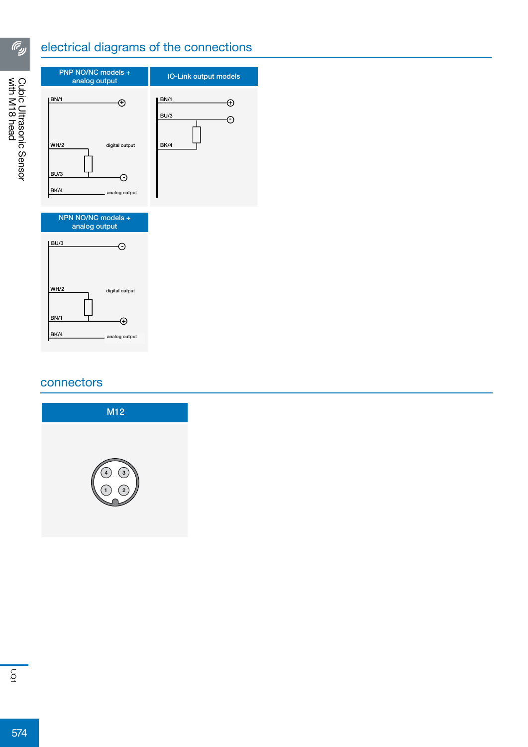# electrical diagrams of the connections



#### connectors



<u>ரே</u>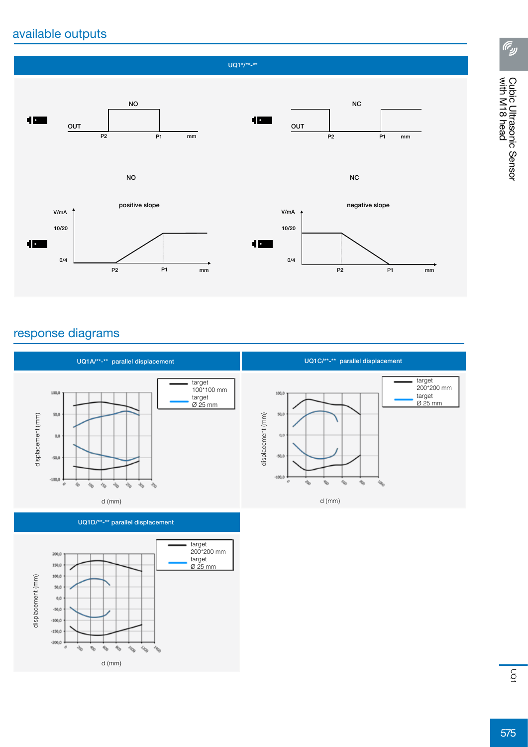## available outputs



### response diagrams



UQ1D/\*\*-\*\* parallel displacement



**ரெ**